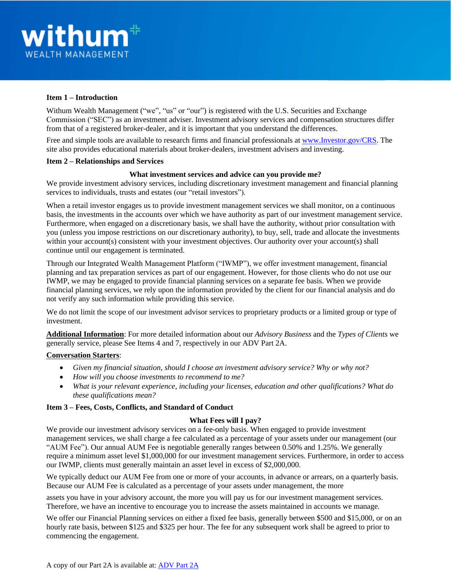# **Item 1 – Introduction**

Withum Wealth Management ("we", "us" or "our") is registered with the U.S. Securities and Exchange Commission ("SEC") as an investment adviser. Investment advisory services and compensation structures differ from that of a registered broker-dealer, and it is important that you understand the differences.

Free and simple tools are available to research firms and financial professionals at [www.Investor.gov/CRS.](http://www.investor.gov/CRS) The site also provides educational materials about broker-dealers, investment advisers and investing.

## **Item 2 – Relationships and Services**

## **What investment services and advice can you provide me?**

We provide investment advisory services, including discretionary investment management and financial planning services to individuals, trusts and estates (our "retail investors").

When a retail investor engages us to provide investment management services we shall monitor, on a continuous basis, the investments in the accounts over which we have authority as part of our investment management service. Furthermore, when engaged on a discretionary basis, we shall have the authority, without prior consultation with you (unless you impose restrictions on our discretionary authority), to buy, sell, trade and allocate the investments within your account(s) consistent with your investment objectives. Our authority over your account(s) shall continue until our engagement is terminated.

Through our Integrated Wealth Management Platform ("IWMP"), we offer investment management, financial planning and tax preparation services as part of our engagement. However, for those clients who do not use our IWMP, we may be engaged to provide financial planning services on a separate fee basis. When we provide financial planning services, we rely upon the information provided by the client for our financial analysis and do not verify any such information while providing this service.

We do not limit the scope of our investment advisor services to proprietary products or a limited group or type of investment.

**Additional Information**: For more detailed information about our *Advisory Business* and the *Types of Clients* we generally service, please See Items 4 and 7, respectively in our ADV Part 2A.

## **Conversation Starters**:

- *Given my financial situation, should I choose an investment advisory service? Why or why not?*
- *How will you choose investments to recommend to me?*
- *What is your relevant experience, including your licenses, education and other qualifications? What do these qualifications mean?*

# **Item 3 – Fees, Costs, Conflicts, and Standard of Conduct**

## **What Fees will I pay?**

We provide our investment advisory services on a fee-only basis. When engaged to provide investment management services, we shall charge a fee calculated as a percentage of your assets under our management (our "AUM Fee"). Our annual AUM Fee is negotiable generally ranges between 0.50% and 1.25%. We generally require a minimum asset level \$1,000,000 for our investment management services. Furthermore, in order to access our IWMP, clients must generally maintain an asset level in excess of \$2,000,000.

We typically deduct our AUM Fee from one or more of your accounts, in advance or arrears, on a quarterly basis. Because our AUM Fee is calculated as a percentage of your assets under management, the more

assets you have in your advisory account, the more you will pay us for our investment management services. Therefore, we have an incentive to encourage you to increase the assets maintained in accounts we manage.

We offer our Financial Planning services on either a fixed fee basis, generally between \$500 and \$15,000, or on an hourly rate basis, between \$125 and \$325 per hour. The fee for any subsequent work shall be agreed to prior to commencing the engagement.